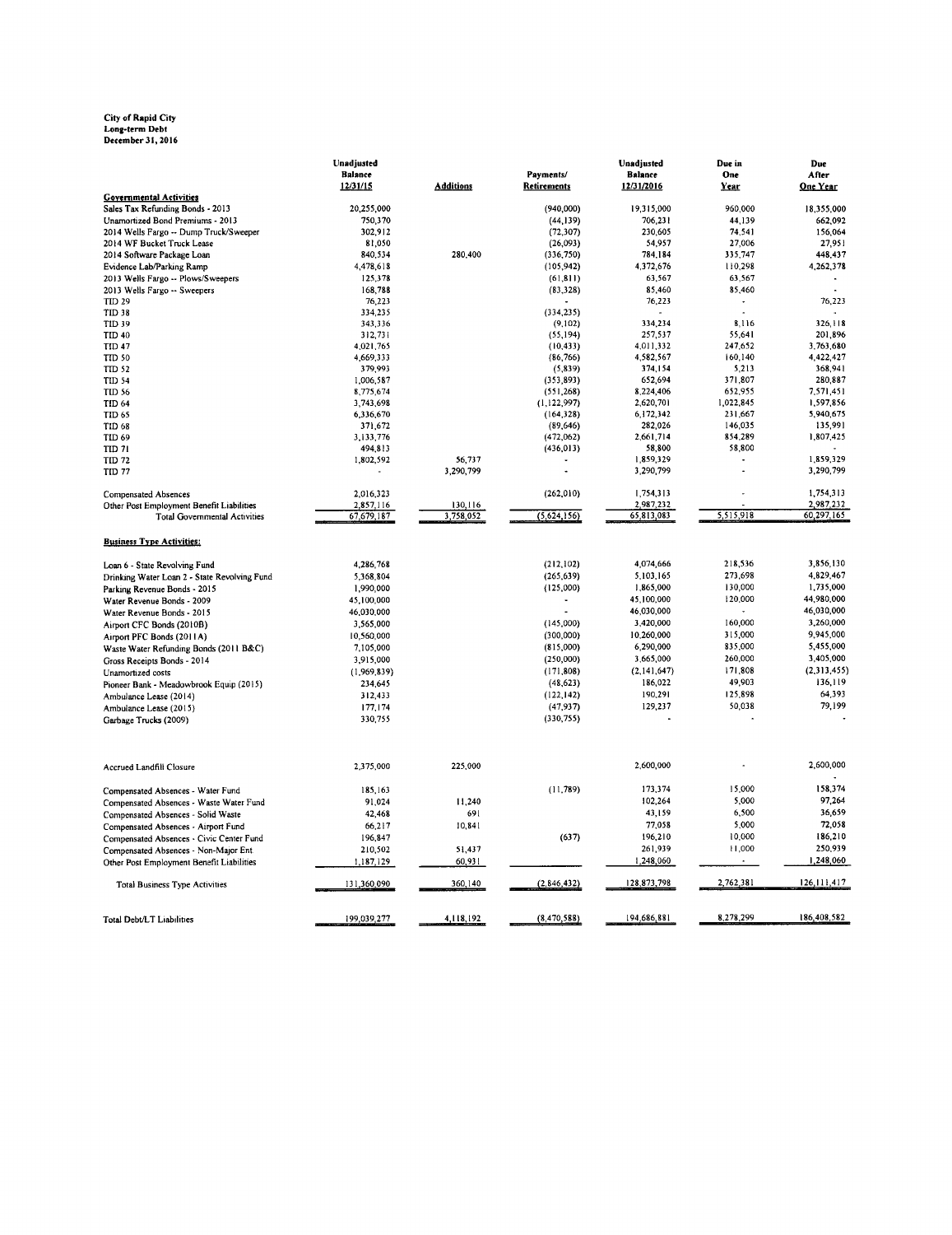### City of Rapid City<br>Long-term Debt<br>December 31, 2016

|                                              | Unadjusted     |                  |               | Unadjusted             | Due in           | Due                    |
|----------------------------------------------|----------------|------------------|---------------|------------------------|------------------|------------------------|
|                                              | <b>Balance</b> |                  | Payments/     | <b>Balance</b>         | <b>One</b>       | After                  |
|                                              | 12/31/15       | <b>Additions</b> | Retirements   | 12/31/2016             | Year             | One Year               |
| <b>Governmental Activities</b>               |                |                  |               |                        |                  |                        |
| Sales Tax Refunding Bonds - 2013             | 20,255,000     |                  | (940,000)     | 19315,000              | 960.000          | 18,355,000             |
| Unamortized Bond Premiums - 2013             | 750,370        |                  | (44, 139)     | 706,231                | 44,139           | 662,092                |
| 2014 Wells Fargo -- Dump Truck/Sweeper       | 302,912        |                  | (72, 307)     | 230,605                | 74,541           | 156,064                |
| 2014 WF Bucket Truck Lease                   | 81,050         |                  | (26,093)      | 54,957                 | 27,006           | 27,951                 |
| 2014 Software Package Loan                   | 840,534        | 280,400          | (336, 750)    | 784,184                | 335,747          | 448,437                |
| Evidence Lab/Parking Ramp                    | 4,478,618      |                  | (105, 942)    | 4,372,676              | 110,298          | 4,262,378              |
| 2013 Wells Fargo -- Plows/Sweepers           | 125,378        |                  | (61, 811)     | 63,567                 | 63,567           |                        |
| 2013 Wells Fargo -- Sweepers                 | 168,788        |                  | (83, 328)     | 85,460                 | 85,460           |                        |
| TID 29                                       | 76,223         |                  |               | 76,223                 |                  | 76,223                 |
| TID 38                                       | 334,235        |                  | (334, 235)    |                        |                  |                        |
| TID 39                                       | 343,336        |                  | (9,102)       | 334,234                | 8,116            | 326,118                |
| <b>TID 40</b>                                | 312,731        |                  | (55, 194)     | 257,537                | 55,641           | 201,896                |
| <b>TID 47</b>                                | 4,021,765      |                  | (10, 433)     | 4,011,332              | 247,652          | 3,763,680              |
| <b>TID 50</b>                                | 4,669,333      |                  | (86, 766)     | 4,582,567              | 160,140          | 4,422,427              |
| <b>TID 52</b>                                | 379,993        |                  | (5, 839)      | 374,154                | 5,213<br>371,807 | 368,941                |
| TID 54                                       | 1,006,587      |                  | (353, 893)    | 652,694                |                  | 280,887                |
| <b>TID 56</b>                                | 8,775,674      |                  | (551, 268)    | 8,224,406<br>2,620,701 | 652,955          | 7,571,451<br>1,597,856 |
| TID 64                                       | 3,743,698      |                  | (1,122,997)   |                        | 1,022,845        |                        |
| <b>TID 65</b>                                | 6,336,670      |                  | (164, 328)    | 6,172,342              | 231,667          | 5,940,675              |
| <b>TID 68</b>                                | 371.672        |                  | (89, 646)     | 282,026                | 146,035          | 135,991                |
| TID 69                                       | 3,133,776      |                  | (472,062)     | 2,661,714              | 854,289          | 1,807,425              |
| TID 71                                       | 494,813        |                  | (436, 013)    | 58,800                 | 58,800           |                        |
| TID 72                                       | 1,802,592      | 56,737           |               | 1,859,329              | ÷.               | 1,859,329<br>3,290,799 |
| <b>TID 77</b>                                |                | 3,290,799        |               | 3,290,799              |                  |                        |
|                                              |                |                  | (262, 010)    | 1,754,313              | ÷                | 1,754,313              |
| Compensated Absences                         | 2,016,323      | 130,116          |               | 2,987,232              |                  | 2,987,232              |
| Other Post Employment Benefit Liabilities    | 2,857,116      | 3.758.052        | (5,624,156)   | 65,813,083             | 5.515.918        | 60,297,165             |
| <b>Total Governmental Activities</b>         | 67,679,187     |                  |               |                        |                  |                        |
| <b>Business Type Activities:</b>             |                |                  |               |                        |                  |                        |
| Loan 6 - State Revolving Fund                | 4,286,768      |                  | (212, 102)    | 4,074,666              | 218,536          | 3,856,130              |
| Drinking Water Loan 2 - State Revolving Fund | 5,368,804      |                  | (265, 639)    | 5,103,165              | 273,698          | 4,829,467              |
| Parking Revenue Bonds - 2015                 | 1,990,000      |                  | (125,000)     | 1,865,000              | 130,000          | 1,735,000              |
| Water Revenue Bonds - 2009                   | 45,100,000     |                  |               | 45,100,000             | 120,000          | 44,980,000             |
| Water Revenue Bonds - 2015                   | 46,030,000     |                  |               | 46,030,000             |                  | 46,030,000             |
| Airport CFC Bonds (2010B)                    | 3,565,000      |                  | (145,000)     | 3,420,000              | 160,000          | 3,260,000              |
|                                              | 10,560,000     |                  | (300,000)     | 10,260,000             | 315,000          | 9,945,000              |
| Airport PFC Bonds (2011A)                    |                |                  | (815,000)     | 6,290,000              | 835,000          | 5,455,000              |
| Waste Water Refunding Bonds (2011 B&C)       | 7,105,000      |                  |               | 3,665,000              | 260,000          | 3,405,000              |
| Gross Receipts Bonds - 2014                  | 3,915,000      |                  | (250,000)     |                        |                  |                        |
| Unamortized costs                            | (1,969,839)    |                  | (171,808)     | (2,141,647)            | 171,808          | (2,313,455)            |
| Pioneer Bank - Meadowbrook Equip (2015)      | 234,645        |                  | (48, 623)     | 186,022                | 49,903           | 136,119                |
| Ambulance Lease (2014)                       | 312,433        |                  | (122, 142)    | 190,291                | 125,898          | 64,393                 |
| Ambulance Lease (2015)                       | 177,174        |                  | (47, 937)     | 129,237                | 50,038           | 79,199                 |
| Garbage Trucks (2009)                        | 330,755        |                  | (330, 755)    |                        |                  |                        |
| Accrued Landfill Closure                     | 2,375,000      | 225,000          |               | 2,600,000              |                  | 2,600,000              |
| Compensated Absences - Water Fund            | 185,163        |                  | (11, 789)     | 173,374                | 15,000           | 158,374                |
| Compensated Absences - Waste Water Fund      | 91.024         | 11,240           |               | 102,264                | 5,000            | 97,264                 |
|                                              | 42,468         | 691              |               | 43,159                 | 6,500            | 36,659                 |
| Compensated Absences - Solid Waste           |                | 10,841           |               | 77.058                 | 5,000            | 72,058                 |
| Compensated Absences - Airport Fund          | 66,217         |                  |               |                        | 10,000           | 186,210                |
| Compensated Absences - Civic Center Fund     | 196,847        |                  | (637)         | 196,210                |                  |                        |
| Compensated Absences - Non-Major Ent.        | 210,502        | 51,437           |               | 261,939                | 11,000           | 250,939                |
| Other Post Employment Benefit Liabilities    | 1,187,129      | 60,931           |               | 1,248,060              |                  | 1,248,060              |
| <b>Total Business Type Activities</b>        | 131,360,090    | 360,140          | (2, 846, 432) | 128,873,798            | 2,762,381        | 126, 111, 417          |
|                                              |                |                  |               |                        |                  |                        |
| Total Debt/LT Liabilities                    | 199,039,277    | 4,118,192        | (8, 470, 588) | 194,686,881            | 8,278,299        | 186,408,582            |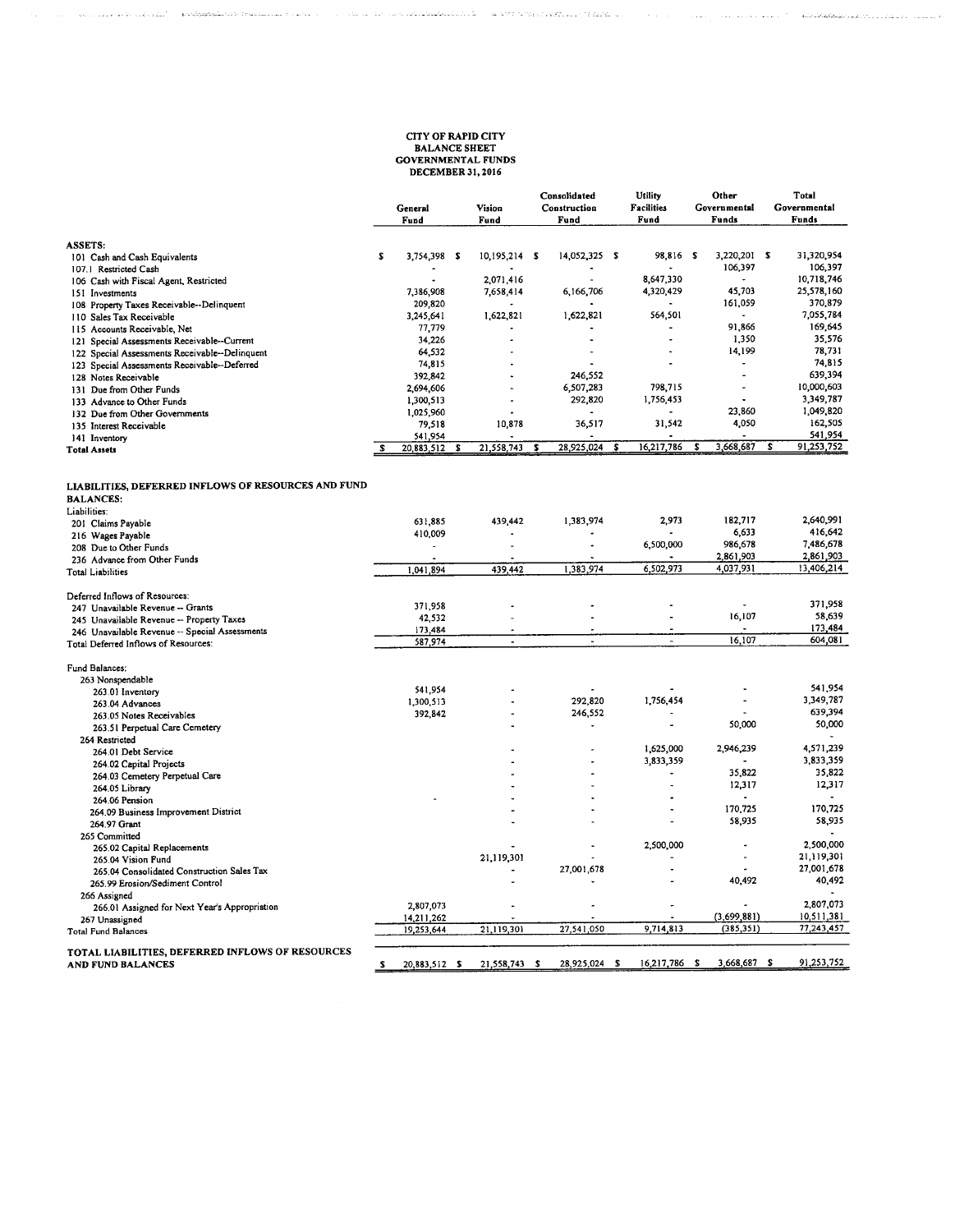# **CITY OF RAPID CITY<br>BALANCE SHEET<br>GOVERNMENTAL FUNDS<br>DECEMBER 31, 2016**

 $\tau$  , and the construction of the state of the structure energy ( ).

 $\label{eq:3} \mathcal{L}_{\text{G}}(\mathcal{L}_{\text{G}}(\mathcal{L}_{\text{G}}(\mathcal{L}_{\text{G}}(\mathcal{L}_{\text{G}}(\mathcal{L}_{\text{G}}(\mathcal{L}_{\text{G}}(\mathcal{L}_{\text{G}}(\mathcal{L}_{\text{G}}(\mathcal{L}_{\text{G}}(\mathcal{L}_{\text{G}}(\mathcal{L}_{\text{G}}(\mathcal{L}_{\text{G}}(\mathcal{L}_{\text{G}}(\mathcal{L}_{\text{G}}(\mathcal{L}_{\text{G}}(\mathcal{L}_{\text{G}}(\mathcal{L}_{\text{G}}(\mathcal{L}_{\text{G}}(\mathcal{$ 

 $\langle\ldots\rangle$ 

 $\label{eq:3} \phi_{\rm{eff}}(z) = \phi_{\rm{eff}}(z) + \phi_{\rm{eff}}(z) + \phi_{\rm{eff}}(z) = \phi_{\rm{eff}}(z) + \phi_{\rm{eff}}(z) + \phi_{\rm{eff}}(z) + \phi_{\rm{eff}}(z) + \phi_{\rm{eff}}(z) + \phi_{\rm{eff}}(z)$ 

|                                                                                         | General<br>Fund      |   | Vision<br>Fund |     | Consolidated<br>Construction<br>Fund |   | Utility<br><b>Facilities</b><br>Fund |   | Other<br>Governmental<br>Funds |   | Total<br>Governmental<br>Funds |
|-----------------------------------------------------------------------------------------|----------------------|---|----------------|-----|--------------------------------------|---|--------------------------------------|---|--------------------------------|---|--------------------------------|
| <b>ASSETS:</b>                                                                          |                      |   |                |     |                                      |   |                                      |   |                                |   |                                |
| 101 Cash and Cash Equivalents                                                           | S<br>3,754,398 \$    |   | 10,195,214 \$  |     | 14,052,325 \$                        |   | 98,816 \$                            |   | 3,220,201 \$                   |   | 31,320,954                     |
| 107.1 Restricted Cash                                                                   |                      |   |                |     |                                      |   |                                      |   | 106,397                        |   | 106,397                        |
| 106 Cash with Fiscal Agent, Restricted                                                  |                      |   | 2,071,416      |     | $\ddot{\phantom{a}}$                 |   | 8,647,330                            |   |                                |   | 10,718,746                     |
| 151 Investments                                                                         | 7,386,908<br>209,820 |   | 7,658,414      |     | 6,166,706                            |   | 4,320,429                            |   | 45,703<br>161,059              |   | 25,578,160<br>370,879          |
| 108 Property Taxes Receivable--Delinquent                                               | 3,245,641            |   | 1,622,821      |     | 1,622,821                            |   | 564,501                              |   |                                |   | 7,055,784                      |
| 110 Sales Tax Receivable<br>115 Accounts Receivable, Net                                | 77,779               |   |                |     |                                      |   |                                      |   | 91,866                         |   | 169,645                        |
| 121 Special Assessments Receivable--Current                                             | 34,226               |   |                |     |                                      |   |                                      |   | 1,350                          |   | 35,576                         |
| 122 Special Assessments Receivable--Delinquent                                          | 64,532               |   |                |     | $\bullet$                            |   | $\ddot{\phantom{0}}$                 |   | 14,199                         |   | 78,731                         |
| 123 Special Assessments Receivable--Deferred                                            | 74,815               |   |                |     |                                      |   |                                      |   |                                |   | 74,815                         |
| 128 Notes Receivable                                                                    | 392,842              |   |                |     | 246,552                              |   |                                      |   |                                |   | 639,394                        |
| 131 Due from Other Funds                                                                | 2,694,606            |   |                |     | 6,507,283                            |   | 798,715                              |   | $\overline{a}$                 |   | 10,000,603                     |
| 133 Advance to Other Funds                                                              | 1,300,513            |   |                |     | 292,820                              |   | 1,756,453                            |   |                                |   | 3,349,787                      |
| 132 Due from Other Governments                                                          | 1,025,960            |   |                |     |                                      |   |                                      |   | 23,860                         |   | 1,049,820                      |
| 135 Interest Receivable                                                                 | 79,518               |   | 10,878         |     | 36,517                               |   | 31,542                               |   | 4,050                          |   | 162,505                        |
| 141 Inventory                                                                           | 541,954              |   |                |     |                                      |   |                                      |   |                                |   | 541,954                        |
| <b>Total Assets</b>                                                                     | 20,883,512           | s | 21,558,743     | - 5 | 28,925,024                           | S | 16,217,786                           | s | 3,668,687                      | s | 91,253,752                     |
| LIABILITIES, DEFERRED INFLOWS OF RESOURCES AND FUND<br><b>BALANCES:</b><br>Liabilities: |                      |   |                |     |                                      |   |                                      |   |                                |   |                                |
| 201 Claims Payable                                                                      | 631.885              |   | 439,442        |     | 1,383,974                            |   | 2,973                                |   | 182,717                        |   | 2,640,991                      |
| 216 Wages Payable                                                                       | 410,009              |   |                |     |                                      |   |                                      |   | 6,633                          |   | 416,642                        |
| 208 Due to Other Funds                                                                  | $\blacksquare$       |   |                |     |                                      |   | 6,500,000                            |   | 986,678                        |   | 7,486,678                      |
| 236 Advance from Other Funds                                                            |                      |   |                |     |                                      |   |                                      |   | 2,861,903                      |   | 2,861,903                      |
| <b>Total Liabilities</b>                                                                | 1,041,894            |   | 439,442        |     | 1,383,974                            |   | 6,502,973                            |   | 4,037,931                      |   | 13,406,214                     |
| Deferred Inflows of Resources:                                                          |                      |   |                |     |                                      |   |                                      |   |                                |   |                                |
| 247 Unavailable Revenue -- Grants                                                       | 371,958              |   |                |     |                                      |   |                                      |   |                                |   | 371,958                        |
| 245 Unavailable Revenue -- Property Taxes                                               | 42,532               |   |                |     | L.                                   |   | $\overline{a}$                       |   | 16,107                         |   | 58,639                         |
| 246 Unavailable Revenue -- Special Assessments                                          | 173,484              |   |                |     |                                      |   | ä,                                   |   |                                |   | 173,484                        |
| Total Deferred Inflows of Resources:                                                    | 587,974              |   | $\overline{a}$ |     |                                      |   |                                      |   | 16,107                         |   | 604,081                        |
| Fund Balances:                                                                          |                      |   |                |     |                                      |   |                                      |   |                                |   |                                |
| 263 Nonspendable                                                                        |                      |   |                |     |                                      |   |                                      |   |                                |   |                                |
| 263.01 Inventory                                                                        | 541,954              |   |                |     |                                      |   |                                      |   |                                |   | 541,954                        |
| 263.04 Advances                                                                         | 1,300,513            |   |                |     | 292,820                              |   | 1,756,454                            |   | $\ddot{\phantom{1}}$           |   | 3,349,787                      |
| 263.05 Notes Receivables                                                                | 392,842              |   |                |     | 246,552                              |   |                                      |   | 50,000                         |   | 639,394<br>50,000              |
| 263.51 Perpetual Care Cemetery                                                          |                      |   |                |     |                                      |   |                                      |   |                                |   |                                |
| 264 Restricted                                                                          |                      |   |                |     |                                      |   | 1,625,000                            |   | 2,946,239                      |   | 4,571,239                      |
| 264.01 Debt Service                                                                     |                      |   |                |     |                                      |   | 3,833,359                            |   |                                |   | 3,833,359                      |
| 264.02 Capital Projects                                                                 |                      |   |                |     |                                      |   | $\overline{a}$                       |   | 35,822                         |   | 35,822                         |
| 264.03 Cemetery Perpetual Care                                                          |                      |   |                |     |                                      |   |                                      |   | 12,317                         |   | 12,317                         |
| 264.05 Library                                                                          |                      |   |                |     |                                      |   |                                      |   |                                |   |                                |
| 264.06 Pension<br>264.09 Business Improvement District                                  |                      |   |                |     |                                      |   |                                      |   | 170,725                        |   | 170,725                        |
| 264.97 Grant                                                                            |                      |   |                |     |                                      |   |                                      |   | 58,935                         |   | 58,935                         |
| 265 Committed                                                                           |                      |   |                |     |                                      |   |                                      |   |                                |   |                                |
| 265.02 Capital Replacements                                                             |                      |   |                |     |                                      |   | 2,500,000                            |   | ٠                              |   | 2,500,000                      |
| 265.04 Vision Fund                                                                      |                      |   | 21,119,301     |     |                                      |   |                                      |   |                                |   | 21.119.301                     |
| 265.04 Consolidated Construction Sales Tax                                              |                      |   |                |     | 27,001,678                           |   |                                      |   |                                |   | 27,001,678                     |
| 265.99 Erosion/Sediment Control                                                         |                      |   |                |     |                                      |   |                                      |   | 40,492                         |   | 40,492                         |
| 266 Assigned                                                                            |                      |   |                |     |                                      |   |                                      |   |                                |   |                                |
| 266.01 Assigned for Next Year's Appropriation                                           | 2,807,073            |   |                |     |                                      |   |                                      |   |                                |   | 2,807,073                      |
| 267 Unassigned                                                                          | 14,211,262           |   |                |     |                                      |   |                                      |   | (3,699,881)                    |   | 10,511,381                     |
| <b>Total Fund Balances</b>                                                              | 19,253,644           |   | 21,119,301     |     | 27,541,050                           |   | 9,714,813                            |   | (385, 351)                     |   | 77,243,457                     |
| TOTAL LIABILITIES, DEFERRED INFLOWS OF RESOURCES                                        |                      |   |                |     |                                      |   |                                      |   |                                |   |                                |
| <b>AND FUND BALANCES</b>                                                                | 20.883.512<br>£.     | S | 21.558.743     | s   | 28,925,024                           | s | 16,217,786 \$                        |   | 3,668,687 \$                   |   | 91,253,752                     |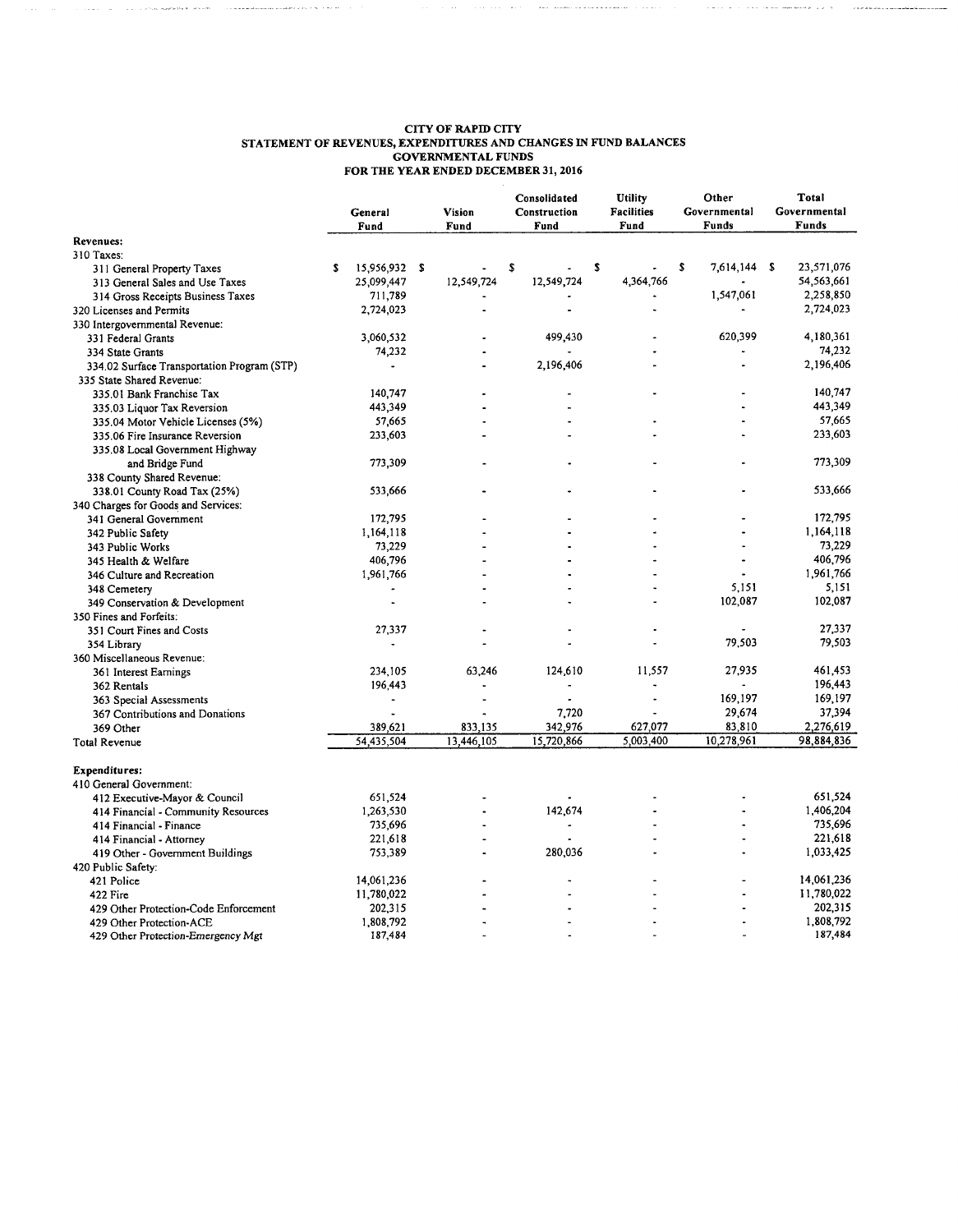| <b>CITY OF RAPID CITY</b>                                        |         |
|------------------------------------------------------------------|---------|
| STATEMENT OF REVENUES, EXPENDITURES AND CHANGES IN FUND BALANCES |         |
| <b>GOVERNMENTAL FUNDS</b>                                        |         |
| FOR THE YEAR ENDED DECEMBER 31, 2016                             |         |
|                                                                  |         |
| Consolidated                                                     | Utility |

 $\sim$  2 m p is a measurement of the complete state  $\sim$  10  $\pm$ 

 $\hat{L}_{\rm{max}}$  , and the constant  $\hat{L}_{\rm{max}}$  of  $\hat{L}_{\rm{max}}$ 

|                                             |    | General<br>Fund          | Vision<br>Fund |    | Consolidated<br>Construction |   | Fund      |   | Utility<br><b>Facilities</b><br>Fund |            | Other<br>Governmental<br>Funds | Total<br>Governmental<br>Funds |
|---------------------------------------------|----|--------------------------|----------------|----|------------------------------|---|-----------|---|--------------------------------------|------------|--------------------------------|--------------------------------|
| <b>Revenues:</b>                            |    |                          |                |    |                              |   |           |   |                                      |            |                                |                                |
| 310 Taxes:                                  |    |                          |                |    |                              |   |           |   |                                      |            |                                |                                |
| 311 General Property Taxes                  | £. | 15,956,932 \$            |                | \$ |                              | S |           | S | 7,614,144 \$                         | 23,571,076 |                                |                                |
| 313 General Sales and Use Taxes             |    | 25,099,447               | 12,549,724     |    | 12,549,724                   |   | 4,364,766 |   |                                      | 54,563,661 |                                |                                |
| 314 Gross Receipts Business Taxes           |    | 711,789                  |                |    |                              |   |           |   | 1,547,061                            | 2,258,850  |                                |                                |
| 320 Licenses and Permits                    |    | 2,724,023                |                |    |                              |   |           |   |                                      | 2,724,023  |                                |                                |
| 330 Intergovernmental Revenue:              |    |                          |                |    |                              |   |           |   |                                      |            |                                |                                |
| 331 Federal Grants                          |    | 3,060,532                |                |    | 499,430                      |   |           |   | 620,399                              | 4,180,361  |                                |                                |
| 334 State Grants                            |    | 74,232                   |                |    |                              |   |           |   |                                      | 74,232     |                                |                                |
| 334.02 Surface Transportation Program (STP) |    | $\blacksquare$           |                |    | 2,196,406                    |   |           |   |                                      | 2,196,406  |                                |                                |
| 335 State Shared Revenue:                   |    |                          |                |    |                              |   |           |   |                                      |            |                                |                                |
| 335.01 Bank Franchise Tax                   |    | 140.747                  |                |    |                              |   |           |   |                                      | 140,747    |                                |                                |
| 335.03 Liquor Tax Reversion                 |    | 443,349                  |                |    |                              |   |           |   |                                      | 443,349    |                                |                                |
| 335.04 Motor Vehicle Licenses (5%)          |    | 57,665                   |                |    |                              |   |           |   |                                      | 57,665     |                                |                                |
| 335.06 Fire Insurance Reversion             |    | 233,603                  |                |    |                              |   |           |   |                                      | 233,603    |                                |                                |
| 335.08 Local Government Highway             |    |                          |                |    |                              |   |           |   |                                      |            |                                |                                |
| and Bridge Fund                             |    | 773,309                  |                |    |                              |   |           |   |                                      | 773,309    |                                |                                |
| 338 County Shared Revenue:                  |    |                          |                |    |                              |   |           |   |                                      |            |                                |                                |
| 338.01 County Road Tax (25%)                |    | 533,666                  |                |    |                              |   |           |   |                                      | 533,666    |                                |                                |
| 340 Charges for Goods and Services:         |    |                          |                |    |                              |   |           |   |                                      |            |                                |                                |
| 341 General Government                      |    | 172,795                  |                |    |                              |   |           |   |                                      | 172,795    |                                |                                |
| 342 Public Safety                           |    | 1,164,118                |                |    |                              |   |           |   |                                      | 1,164,118  |                                |                                |
| 343 Public Works                            |    | 73,229                   |                |    |                              |   |           |   |                                      | 73,229     |                                |                                |
| 345 Health & Welfare                        |    | 406,796                  |                |    |                              |   |           |   |                                      | 406,796    |                                |                                |
| 346 Culture and Recreation                  |    | 1,961,766                |                |    |                              |   |           |   |                                      | 1,961,766  |                                |                                |
| 348 Cemetery                                |    |                          |                |    |                              |   |           |   | 5,151                                | 5,151      |                                |                                |
| 349 Conservation & Development              |    |                          |                |    |                              |   |           |   | 102,087                              | 102,087    |                                |                                |
| 350 Fines and Forfeits:                     |    |                          |                |    |                              |   |           |   |                                      |            |                                |                                |
| 351 Court Fines and Costs                   |    | 27,337                   |                |    |                              |   |           |   |                                      | 27,337     |                                |                                |
| 354 Library                                 |    | ä,                       |                |    |                              |   |           |   | 79,503                               | 79,503     |                                |                                |
| 360 Miscellaneous Revenue:                  |    |                          |                |    |                              |   |           |   |                                      |            |                                |                                |
| 361 Interest Earnings                       |    | 234,105                  | 63,246         |    | 124,610                      |   | 11,557    |   | 27,935                               | 461,453    |                                |                                |
| 362 Rentals                                 |    | 196,443                  |                |    |                              |   |           |   |                                      | 196,443    |                                |                                |
| 363 Special Assessments                     |    | $\overline{\phantom{a}}$ |                |    |                              |   |           |   | 169,197                              | 169,197    |                                |                                |
| 367 Contributions and Donations             |    |                          |                |    | 7,720                        |   |           |   | 29,674                               | 37,394     |                                |                                |
| 369 Other                                   |    | 389,621                  | 833,135        |    | 342,976                      |   | 627,077   |   | 83,810                               | 2,276,619  |                                |                                |
| Total Revenue                               |    | 54,435,504               | 13,446,105     |    | 15,720,866                   |   | 5,003,400 |   | 10,278,961                           | 98,884,836 |                                |                                |
| Expenditures:                               |    |                          |                |    |                              |   |           |   |                                      |            |                                |                                |
| 410 General Government:                     |    |                          |                |    |                              |   |           |   |                                      |            |                                |                                |
| 412 Executive-Mayor & Council               |    | 651,524                  |                |    |                              |   |           |   |                                      | 651,524    |                                |                                |
| 414 Financial - Community Resources         |    | 1,263,530                |                |    | 142,674                      |   |           |   |                                      | 1,406,204  |                                |                                |
| 414 Financial - Finance                     |    | 735,696                  |                |    |                              |   |           |   |                                      | 735,696    |                                |                                |
| 414 Financial - Attorney                    |    | 221,618                  |                |    |                              |   |           |   |                                      | 221,618    |                                |                                |
| 419 Other - Government Buildings            |    | 753,389                  |                |    | 280,036                      |   |           |   |                                      | 1,033,425  |                                |                                |
| 420 Public Safety:                          |    |                          |                |    |                              |   |           |   |                                      |            |                                |                                |
| 421 Police                                  |    | 14,061,236               |                |    |                              |   |           |   |                                      | 14,061,236 |                                |                                |
| 422 Fire                                    |    | 11,780,022               |                |    |                              |   |           |   |                                      | 11,780,022 |                                |                                |
| 429 Other Protection-Code Enforcement       |    | 202,315                  |                |    |                              |   |           |   |                                      | 202,315    |                                |                                |
| 429 Other Protection-ACE                    |    | 1,808,792                |                |    |                              |   |           |   |                                      | 1,808,792  |                                |                                |
| 429 Other Protection-Emergency Mgt          |    | 187,484                  |                |    |                              |   |           |   |                                      | 187,484    |                                |                                |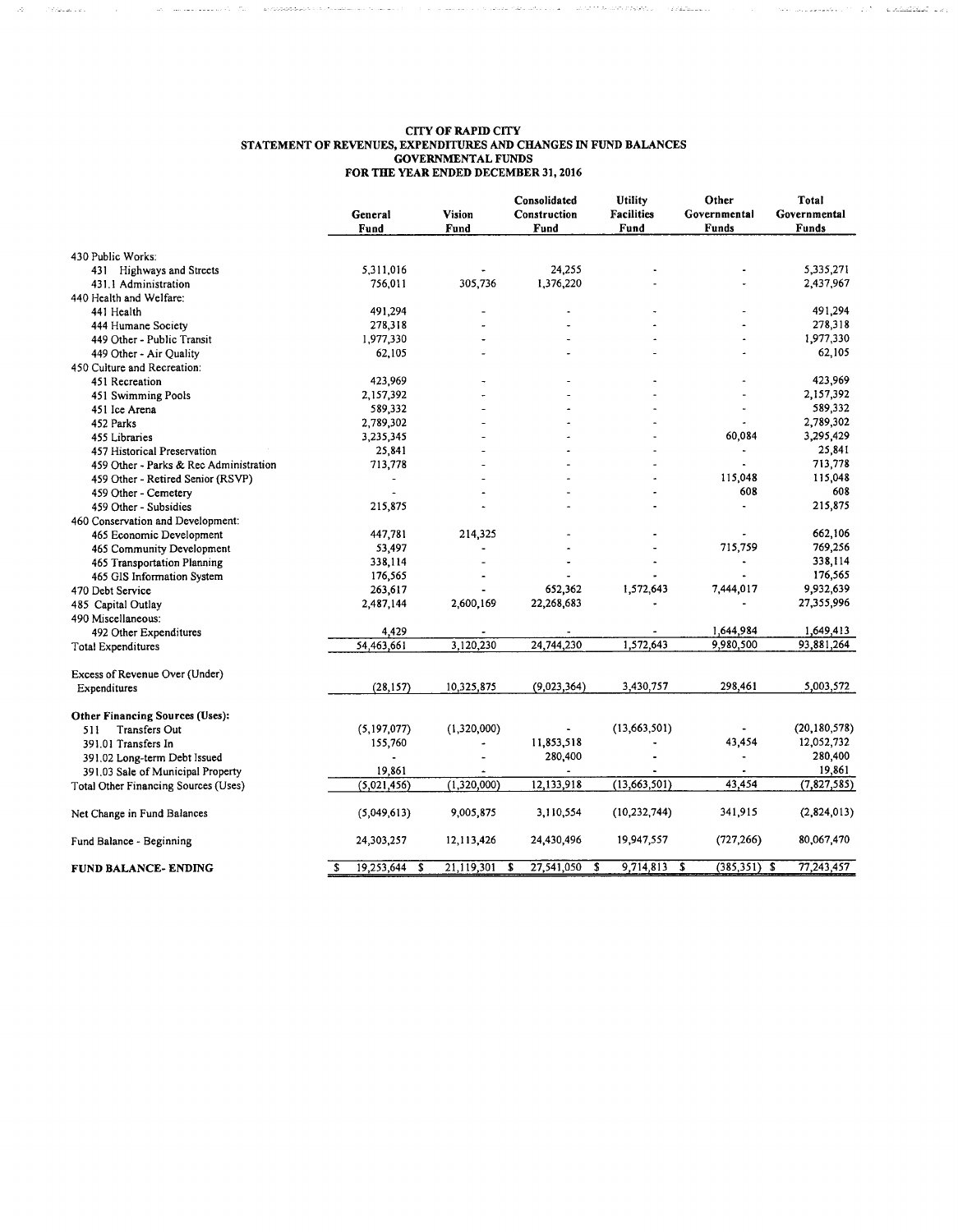#### **CITY OF RAPID CITY** STATEMENT OF REVENUES, EXPENDITURES AND CHANGES IN FUND BALANCES **GOVERNMENTAL FUNDS** FOR THE YEAR ENDED DECEMBER 31, 2016

 $\hat{\phi}$  , and a consequence of  $\hat{\phi}$  . The  $\hat{\phi}$  -distribution to the consequence of  $\hat{\phi}$ 

 $\label{eq:1} \hat{Q}^{(1)}_{\mu\nu} = \hat{Q}^{(1)}_{\mu\nu} + \hat{Q}^{(2)}_{\mu\nu} \hat{Q}^{(1)}_{\mu\nu} + \hat{Q}^{(2)}_{\mu\nu} + \hat{Q}^{(3)}_{\mu\nu} + \hat{Q}^{(4)}_{\mu\nu} + \hat{Q}^{(5)}_{\mu\nu} + \hat{Q}^{(6)}_{\mu\nu} + \hat{Q}^{(6)}_{\mu\nu} + \hat{Q}^{(6)}_{\mu\nu} + \hat{Q}^{(6)}_{\mu\nu} + \hat{Q}^{(6)}_{\mu\nu} + \hat{Q}^{$ 

|                                        | General<br>Fund |   | Vision<br>Fund | Consolidated<br>Construction<br>Fund | Utility<br><b>Facilities</b><br>Fund | Other<br>Governmental<br>Funds | Total<br>Governmental<br>Funds |
|----------------------------------------|-----------------|---|----------------|--------------------------------------|--------------------------------------|--------------------------------|--------------------------------|
| 430 Public Works:                      |                 |   |                |                                      |                                      |                                |                                |
| 431 Highways and Streets               | 5,311,016       |   |                | 24,255                               |                                      |                                | 5,335,271                      |
| 431.1 Administration                   | 756,011         |   | 305,736        | 1,376,220                            |                                      |                                | 2,437,967                      |
| 440 Health and Welfare:                |                 |   |                |                                      |                                      |                                |                                |
| 441 Health                             | 491,294         |   |                |                                      |                                      |                                | 491.294                        |
| 444 Humane Society                     | 278,318         |   |                |                                      |                                      |                                | 278,318                        |
| 449 Other - Public Transit             | 1,977,330       |   |                |                                      |                                      |                                | 1,977,330                      |
| 449 Other - Air Quality                | 62,105          |   |                |                                      |                                      |                                | 62,105                         |
| 450 Culture and Recreation:            |                 |   |                |                                      |                                      |                                |                                |
| 451 Recreation                         | 423,969         |   |                |                                      |                                      |                                | 423,969                        |
| 451 Swimming Pools                     | 2,157,392       |   |                |                                      |                                      |                                | 2,157,392                      |
| 451 Ice Arena                          | 589,332         |   |                |                                      |                                      | ä,                             | 589,332                        |
| 452 Parks                              | 2,789,302       |   |                |                                      |                                      |                                | 2,789,302                      |
| 455 Libraries                          | 3,235,345       |   |                |                                      |                                      | 60,084                         | 3,295,429                      |
| 457 Historical Preservation            | 25,841          |   |                |                                      |                                      |                                | 25,841                         |
| 459 Other - Parks & Rec Administration | 713,778         |   |                |                                      |                                      |                                | 713,778                        |
| 459 Other - Retired Senior (RSVP)      |                 |   |                |                                      |                                      | 115,048                        | 115,048                        |
| 459 Other - Cemetery                   |                 |   |                |                                      |                                      | 608                            | 608                            |
| 459 Other - Subsidies                  | 215,875         |   |                |                                      |                                      |                                | 215,875                        |
| 460 Conservation and Development:      |                 |   |                |                                      |                                      |                                |                                |
| 465 Economic Development               | 447,781         |   | 214,325        |                                      |                                      |                                | 662,106                        |
| 465 Community Development              | 53,497          |   |                |                                      |                                      | 715,759                        | 769,256                        |
| 465 Transportation Planning            | 338,114         |   |                |                                      |                                      |                                | 338,114                        |
| 465 GIS Information System             | 176,565         |   |                |                                      |                                      |                                | 176,565                        |
| 470 Debt Service                       | 263,617         |   |                | 652,362                              | 1,572,643                            | 7,444,017                      | 9,932,639                      |
| 485 Capital Outlay                     | 2,487,144       |   | 2,600,169      | 22,268,683                           |                                      |                                | 27,355,996                     |
| 490 Miscellaneous:                     |                 |   |                |                                      |                                      |                                |                                |
| 492 Other Expenditures                 | 4,429           |   |                |                                      |                                      | 1,644,984                      | 1,649,413                      |
| Total Expenditures                     | 54,463,661      |   | 3,120,230      | 24,744,230                           | 1,572,643                            | 9,980,500                      | 93,881,264                     |
|                                        |                 |   |                |                                      |                                      |                                |                                |
| Excess of Revenue Over (Under)         |                 |   |                |                                      |                                      |                                |                                |
| Expenditures                           | (28, 157)       |   | 10,325,875     | (9,023,364)                          | 3,430,757                            | 298,461                        | 5,003,572                      |
| <b>Other Financing Sources (Uses):</b> |                 |   |                |                                      |                                      |                                |                                |
| <b>Transfers Out</b><br>511            | (5, 197, 077)   |   | (1,320,000)    |                                      | (13, 663, 501)                       |                                | (20, 180, 578)                 |
| 391.01 Transfers In                    | 155,760         |   | ä,             | 11,853,518                           |                                      | 43,454                         | 12,052,732                     |
| 391.02 Long-term Debt Issued           | $\bullet$       |   | Ĺ.             | 280,400                              |                                      |                                | 280,400                        |
| 391.03 Sale of Municipal Property      | 19,861          |   |                |                                      |                                      |                                | 19,861                         |
| Total Other Financing Sources (Uses)   | (5,021,456)     |   | (1,320,000)    | 12,133,918                           | (13,663,501)                         | 43,454                         | (7, 827, 585)                  |
| Net Change in Fund Balances            | (5,049,613)     |   | 9,005,875      | 3,110,554                            | (10, 232, 744)                       | 341,915                        | (2,824,013)                    |
| Fund Balance - Beginning               | 24,303,257      |   | 12,113,426     | 24,430,496                           | 19,947,557                           | (727, 266)                     | 80,067,470                     |
| FUND BALANCE- ENDING                   | s<br>19,253,644 | s | 21,119,301     | 27,541,050<br>S                      | 9,714,813<br>s                       | $(385, 351)$ \$<br>s           | 77,243,457                     |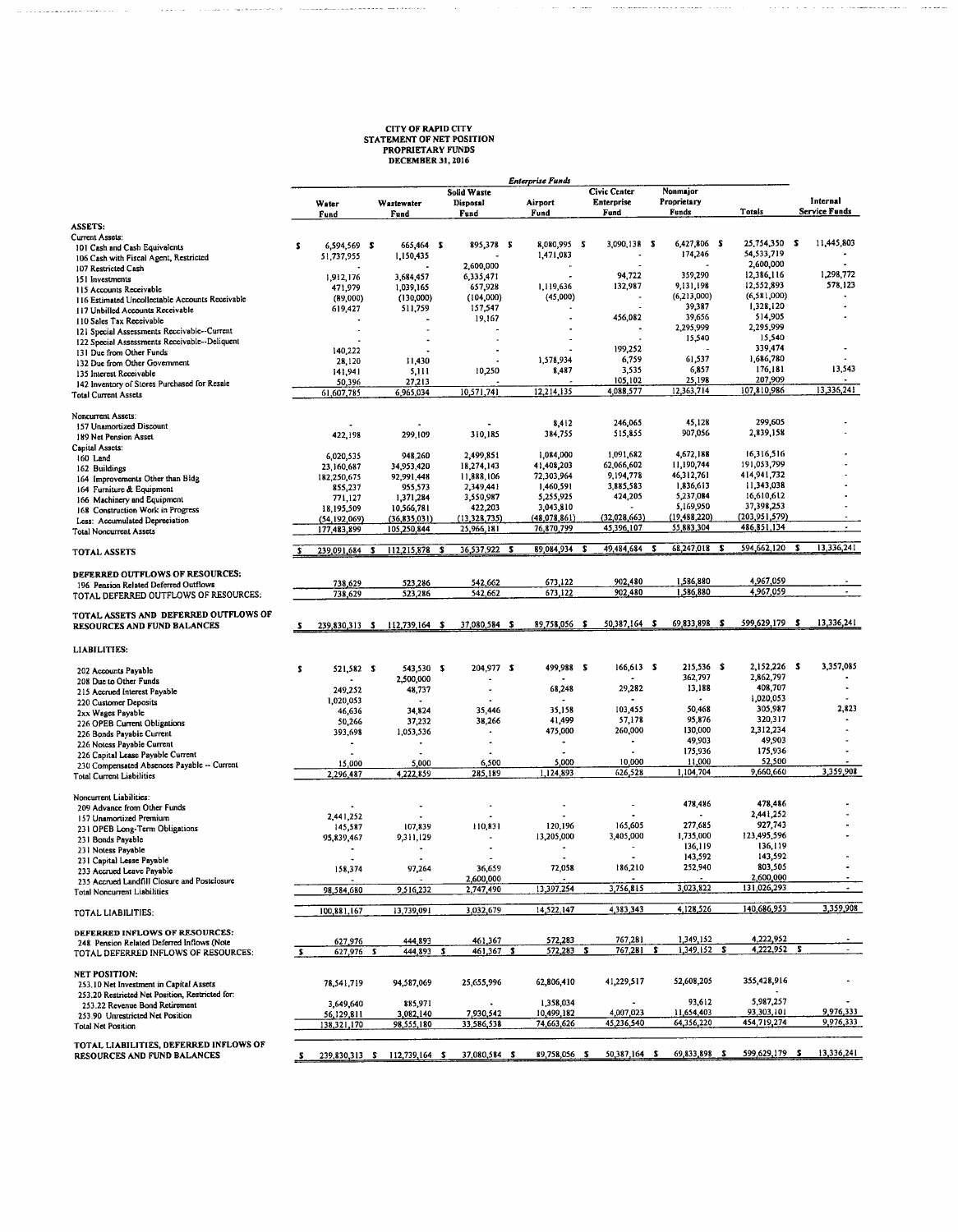## **CITY OF RAPID CITY<br>STATEMENT OF NET POSITION<br>PROPRIETARY FUNDS<br>DECEMBER 31, 2016**

i. in and  $\sim$ 

. . . . . . . . . . . . .

 $\sim$ 

 $\mathbf{r}$ 

<u>.</u><br>The complete state of the complete

 $\sim 100$  and  $\sim 100$ 

 $\langle \tau_{\rm{max}} \rangle_{\rm{max}}$  ,  $\tau_{\rm{max}}$  and a denote  $\omega_{\rm{max}}$  ,  $\theta$ 

|                                                                                            |    |                              |                                   |                                        |                                                  | <b>Enterprise Funds</b> |                                           |   |                                  |                           |   |                           |
|--------------------------------------------------------------------------------------------|----|------------------------------|-----------------------------------|----------------------------------------|--------------------------------------------------|-------------------------|-------------------------------------------|---|----------------------------------|---------------------------|---|---------------------------|
|                                                                                            |    | Water<br>Fund                | Wastewater<br>Fund                | Solid Waste<br><b>Disposal</b><br>Fund |                                                  | Airport<br>Fund         | <b>Civic Center</b><br>Enterprise<br>Fund |   | Nonmajor<br>Proprietary<br>Funds | Totals                    |   | Internal<br>Service Funds |
| <b>ASSETS:</b>                                                                             |    |                              |                                   |                                        |                                                  |                         |                                           |   |                                  |                           |   |                           |
| Current Assets:                                                                            |    |                              |                                   |                                        |                                                  | 8,080,995 \$            | 3,090.138 \$                              |   | 6.427.806 \$                     | 25,754,350 \$             |   | 11,445,803                |
| 101 Cash and Cash Equivalents                                                              | s  | 6,594,569 \$                 | 665,464 \$<br>1,150,435           |                                        | 895,378 \$                                       | 1,471,083               |                                           |   | 174,246                          | 54,533,719                |   |                           |
| 106 Cash with Fiscal Agent, Restricted                                                     |    | 51,737,955                   |                                   | 2,600,000                              |                                                  |                         |                                           |   |                                  | 2,600,000                 |   |                           |
| 107 Restricted Cash                                                                        |    | 1,912,176                    | 3,684,457                         | 6,335,471                              |                                                  |                         | 94,722                                    |   | 359,290                          | 12,386,116                |   | 1,298,772                 |
| 151 Investments<br>115 Accounts Receivable                                                 |    | 471,979                      | 1,039,165                         | 657,928                                |                                                  | 1.119.636               | 132,987                                   |   | 9,131,198                        | 12,552,893                |   | 578,123                   |
| 116 Estimated Uncollectable Accounts Receivable                                            |    | (89,000)                     | (130,000)                         | (104,000)                              |                                                  | (45,000)                |                                           |   | (6,213,000)                      | (6,581,000)               |   |                           |
| 117 Unbilled Accounts Receivable                                                           |    | 619,427                      | 511,759                           | 157,547                                |                                                  |                         |                                           |   | 39,387                           | 1,328,120                 |   |                           |
| 110 Sales Tax Receivable                                                                   |    |                              |                                   | 19,167                                 |                                                  |                         | 456,082                                   |   | 39,656                           | 514,905                   |   |                           |
| 121 Special Assessments Receivable--Current                                                |    |                              |                                   |                                        |                                                  |                         |                                           |   | 2,295,999                        | 2,295,999                 |   |                           |
| 122 Special Assessments Receivable--Deliquent                                              |    |                              |                                   |                                        |                                                  |                         |                                           |   | 15,540                           | 15,540                    |   |                           |
| 131 Due from Other Funds                                                                   |    | 140,222                      |                                   |                                        |                                                  |                         | 199,252                                   |   |                                  | 339,474                   |   |                           |
| 132 Due from Other Government                                                              |    | 28,120                       | 11,430                            |                                        |                                                  | 1,578,934               | 6,759                                     |   | 61,537                           | 1,686,780                 |   |                           |
| 135 Interest Receivable                                                                    |    | 141,941                      | 5,111                             | 10,250                                 |                                                  | 8,487                   | 3,535                                     |   | 6,857<br>25,198                  | 176,181<br>207,909        |   | 13,543                    |
| 142 Inventory of Stores Purchased for Resale<br><b>Total Current Assets</b>                |    | 50,396<br>61,607,785         | 27,213<br>6,965,034               | 10,571,741                             |                                                  | 12,214,135              | 105,102<br>4,088,577                      |   | 12,363,714                       | 107,810,986               |   | 13,336,241                |
| Noncurrent Assets:                                                                         |    |                              |                                   |                                        |                                                  |                         |                                           |   |                                  |                           |   |                           |
| 157 Unamortized Discount                                                                   |    |                              |                                   |                                        |                                                  | 8,412                   | 246,065                                   |   | 45,128                           | 299,605                   |   |                           |
| 189 Net Pension Asset                                                                      |    | 422,198                      | 299,109                           | 310,185                                |                                                  | 384,755                 | 515,855                                   |   | 907,056                          | 2,839,158                 |   |                           |
| Capital Assets:                                                                            |    |                              |                                   |                                        |                                                  |                         |                                           |   |                                  |                           |   |                           |
| 160 Land                                                                                   |    | 6,020,535                    | 948,260                           | 2,499,851                              |                                                  | 1,084,000               | 1,091,682                                 |   | 4,672,188<br>11,190,744          | 16,316,516<br>191,053,799 |   |                           |
| 162 Buildings                                                                              |    | 23,160,687                   | 34,953,420                        | 18,274,143                             |                                                  | 41,408,203              | 62,066,602<br>9,194,778                   |   | 46,312,761                       | 414,941,732               |   |                           |
| 164 Improvements Other than Bidg                                                           |    | 182,250,675                  | 92,991,448                        | 11,888,106                             |                                                  | 72,303,964              | 3,885,583                                 |   | 1,836,613                        | 11,343,038                |   |                           |
| 164 Furniture & Equipment                                                                  |    | 855,237                      | 955,573                           | 2,349,441<br>3,550,987                 |                                                  | 1,460,591<br>5,255,925  | 424,205                                   |   | 5,237,084                        | 16,610,612                |   |                           |
| 166 Machinery and Equipment                                                                |    | 771,127                      | 1,371,284<br>10,566,781           | 422,203                                |                                                  | 3,043,810               |                                           |   | 5,169,950                        | 37,398,253                |   |                           |
| 168 Construction Work in Progress                                                          |    | 18,195,509<br>(54, 192, 069) | (36, 835, 031)                    | (13, 328, 735)                         |                                                  | (48,078,861)            | (32,028,663)                              |   | (19, 488, 220)                   | (203, 951, 579)           |   |                           |
| Less: Accumulated Depreciation<br><b>Total Noncurrent Assets</b>                           |    | 177,483,899                  | 105,250,844                       | 25,966,181                             |                                                  | 76,870,799              | 45,396,107                                |   | 55,883,304                       | 486,851,134               |   |                           |
| TOTAL ASSETS                                                                               | s  | 239.091.684 \$               | 112,215,878 \$                    | 36,537,922 \$                          |                                                  | 89,084,934 \$           | 49,484,684 \$                             |   | 68,247,018 \$                    | 594,662,120               | s | 13,336,241                |
| DEFERRED OUTFLOWS OF RESOURCES:                                                            |    |                              |                                   | 542,662                                |                                                  | 673,122                 | 902,480                                   |   | 1,586,880                        | 4,967,059                 |   |                           |
| 196 Pension Related Deferred Outflows                                                      |    | 738,629<br>738,629           | 523,286<br>523,286                | 542,662                                |                                                  | 673,122                 | 902,480                                   |   | 1,586,880                        | 4,967,059                 |   | $\blacksquare$            |
| TOTAL DEFERRED OUTFLOWS OF RESOURCES:                                                      |    |                              |                                   |                                        |                                                  |                         |                                           |   |                                  |                           |   |                           |
| TOTAL ASSETS AND DEFERRED OUTFLOWS OF<br>RESOURCES AND FUND BALANCES                       |    |                              | 239,830,313 \$ 112,739,164 \$     | 37,080,584 \$                          |                                                  | 89,758,056 \$           | 50,387,164 \$                             |   | 69,833,898 \$                    | 599,629,179 \$            |   | 13,336,241                |
| <b>LIABILITIES:</b>                                                                        |    |                              |                                   |                                        |                                                  |                         |                                           |   |                                  |                           |   |                           |
| 202 Accounts Payable                                                                       | s  | 521,582 \$                   | 543,530 \$                        |                                        | 204,977 \$                                       | 499,988 \$              | 166,613 \$                                |   | 215,536 \$                       | 2,152,226 \$              |   | 3,357,085                 |
| 208 Due to Other Funds                                                                     |    |                              | 2,500,000                         |                                        |                                                  |                         |                                           |   | 362,797                          | 2,862,797                 |   |                           |
| 215 Accrued Interest Payable                                                               |    | 249,252                      | 48,737                            |                                        |                                                  | 68,248                  | 29,282                                    |   | 13,188                           | 408,707                   |   |                           |
| 220 Customer Deposits                                                                      |    | 1,020,053                    |                                   |                                        |                                                  |                         |                                           |   |                                  | 1,020,053                 |   |                           |
| 2xx Wages Payable                                                                          |    | 46,636                       | 34,824                            |                                        | 35,446                                           | 35,158                  | 103,455                                   |   | 50,468                           | 305,987<br>320,317        |   | 2,823                     |
| 226 OPEB Current Obligations                                                               |    | 50,266                       | 37,232                            |                                        | 38,266                                           | 41,499                  | 57,178<br>260,000                         |   | 95,876<br>130,000                | 2,312,234                 |   |                           |
| 226 Bonds Payable Current                                                                  |    | 393,698                      | 1,053,536                         |                                        | $\overline{\phantom{a}}$<br>$\ddot{\phantom{a}}$ | 475,000<br>٠            | $\blacksquare$                            |   | 49,903                           | 49,903                    |   |                           |
| 226 Notess Payable Current                                                                 |    | $\blacksquare$               | $\blacksquare$                    |                                        |                                                  |                         |                                           |   | 175,936                          | 175,936                   |   |                           |
| 226 Capital Lease Payable Current                                                          |    | 15,000                       | 5,000                             |                                        | 6,500                                            | 5,000                   | 10,000                                    |   | 11,000                           | 52,500                    |   |                           |
| 230 Compensated Absences Payable -- Current<br><b>Total Current Liabilities</b>            |    | 2,296,487                    | 4,222,859                         | 285,189                                |                                                  | 1,124,893               | 626,528                                   |   | 1,104,704                        | 9,660,660                 |   | 3,359,908                 |
| Noncurrent Liabilities:                                                                    |    |                              |                                   |                                        |                                                  |                         | ٠                                         |   | 478,486                          | 478,486                   |   |                           |
| 209 Advance from Other Funds                                                               |    |                              |                                   |                                        |                                                  |                         |                                           |   |                                  | 2,441,252                 |   |                           |
| 157 Unamortized Premium                                                                    |    | 2,441,252<br>145,587         | 107,839                           | 110,831                                |                                                  | 120,196                 | 165,605                                   |   | 277,685                          | 927,743                   |   |                           |
| 231 OPEB Long-Term Obligations                                                             |    | 95,839,467                   |                                   |                                        |                                                  | 13,205,000              | 3,405,000                                 |   | 1.735.000                        | 123,495,596               |   |                           |
| 231 Bonds Payable<br>231 Notess Payable                                                    |    |                              | 9,311,129                         |                                        |                                                  |                         |                                           |   | 136,119                          | 136,119                   |   |                           |
| 231 Capital Lease Payable                                                                  |    |                              | $\epsilon$                        |                                        |                                                  |                         |                                           |   | 143,592                          | 143,592                   |   |                           |
|                                                                                            |    | 158,374                      | 97,264                            |                                        | 36,659                                           | 72,058                  | 186,210                                   |   | 252,940                          | 803,505                   |   |                           |
| 233 Accrued Leave Payable<br>235 Accrued Landfill Closure and Postclosure                  |    |                              |                                   | 2.600.000                              |                                                  |                         |                                           |   |                                  | 2,600,000                 |   |                           |
| <b>Total Noncurrent Liabilities</b>                                                        |    | 98,584,680                   | 9,516,232                         | 2,747,490                              |                                                  | 13,397,254              | 3,756,815                                 |   | 3,023,822                        | 131,026,293               |   | $\sim$                    |
| TOTAL LIABILITIES:                                                                         |    | 100,881,167                  | 13,739,091                        | 3,032,679                              |                                                  | 14,522,147              | 4,383,343                                 |   | 4,128,526                        | 140,686,953               |   | 3,359,908                 |
| DEFERRED INFLOWS OF RESOURCES:                                                             |    |                              |                                   |                                        |                                                  |                         | 767,281                                   |   | 1,349,152                        | 4,222,952                 |   |                           |
| 248 Pension Related Deferred Inflows (Note<br>TOTAL DEFERRED INFLOWS OF RESOURCES:         | -5 | 627,976<br>627,976 \$        | 444,893<br>444,893 \$             | 461,367                                | $461,367$ \$                                     | 572,283<br>572,283 \$   | 767,281                                   | s | $1,349,152$ S                    | 4,222,952                 |   | $\sim$                    |
| <b>NET POSITION:</b>                                                                       |    |                              |                                   |                                        |                                                  |                         |                                           |   |                                  |                           |   |                           |
| 253.10 Net Investment in Capital Assets<br>253.20 Restricted Net Position, Restricted for: |    | 78,541,719                   | 94,587,069                        | 25,655,996                             |                                                  | 62,806,410              | 41,229,517                                |   | 52,608,205                       | 355,428,916               |   | ۰                         |
| 253.22 Revenue Bond Retirement                                                             |    | 3,649,640                    | 885,971                           |                                        |                                                  | 1,358,034               |                                           |   | 93,612                           | 5,987,257                 |   |                           |
| 253.90 Unrestricted Net Position                                                           |    | 56,129,811                   | 3,082,140                         | 7,930,542                              |                                                  | 10,499,182              | 4,007,023                                 |   | 11,654,403                       | 93,303,101                |   | 9,976,333                 |
| Total Net Position                                                                         |    | 138,321,170                  | 98,555,180                        | 33,586,538                             |                                                  | 74,663,626              | 45,236,540                                |   | 64,356,220                       | 454,719,274               |   | 9,976,333                 |
| TOTAL LIABILITIES, DEFERRED INFLOWS OF<br>RESOURCES AND FUND BALANCES                      |    |                              | $S$ 239,830,313 \$ 112,739,164 \$ | 37,080,584 S                           |                                                  | 89,758,056 \$           | 50,387,164 \$                             |   | 69,833,898 \$                    | 599,629,179 \$            |   | 13,336,241                |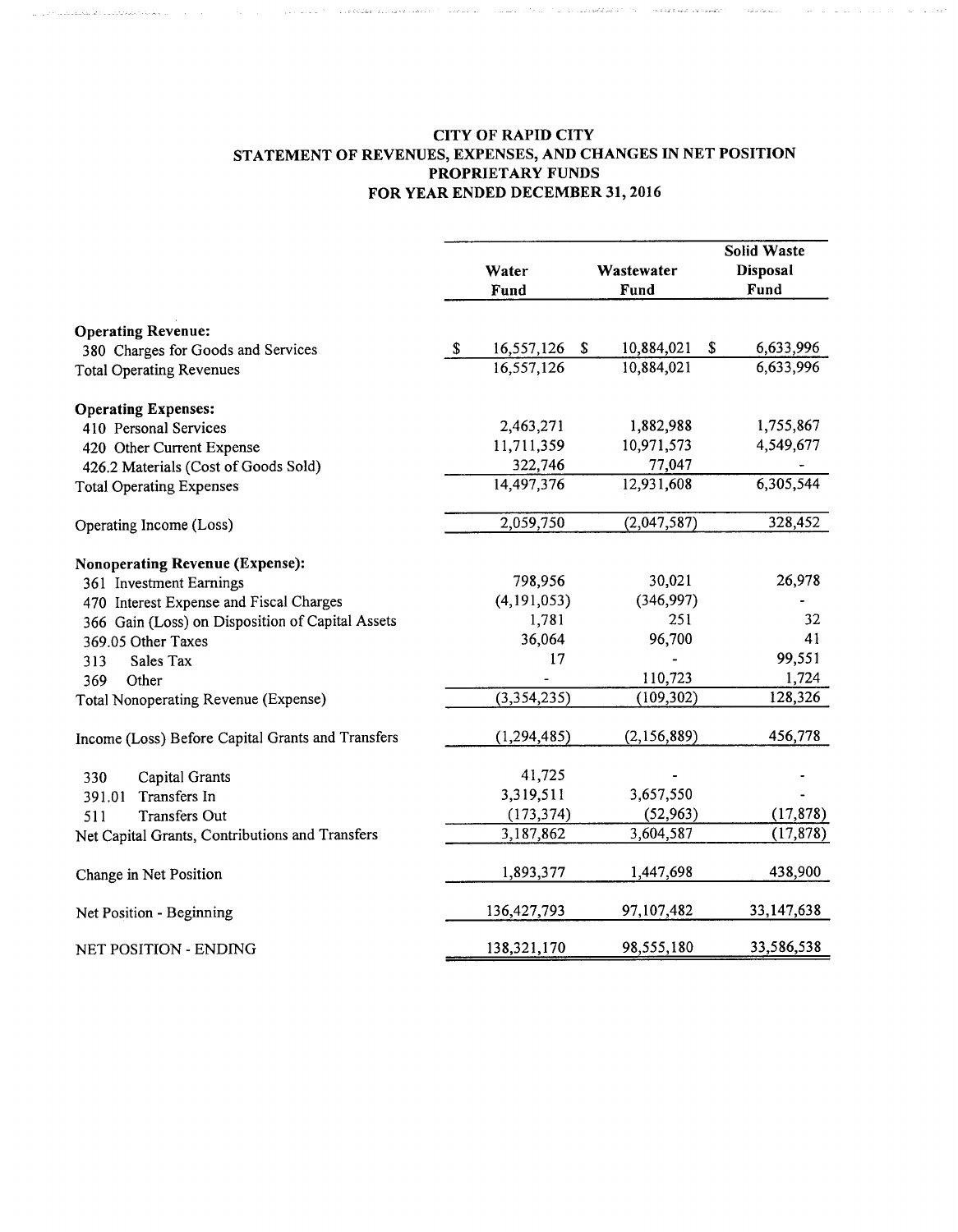### CITY OF RAPID CITY STATEMENT OF REVENUES, EXPENSES, AND CHANGES IN NET POSITION PROPRIETARY FUNDS FOR YEAR ENDED DECEMBER 31, 2016

 $\label{eq:1} \hat{Q}_{\mu\nu}^{\mu\nu}Q_{\mu\nu}^{\nu\lambda} = \hat{Q}_{\mu\nu}^{\mu\nu}Q_{\mu\nu}^{\nu\lambda}Q_{\mu\nu}^{\nu\lambda}Q_{\mu\nu}^{\nu\lambda}Q_{\nu}^{\nu\lambda}Q_{\nu}^{\nu\lambda}Q_{\nu}^{\nu\lambda}Q_{\nu}^{\nu\lambda}Q_{\nu}^{\nu\lambda}Q_{\nu}^{\nu\lambda}Q_{\nu}^{\nu\lambda}Q_{\nu}^{\nu\lambda}Q_{\nu}^{\nu\lambda}Q_{\nu}^{\nu\lambda}Q_{\nu}^{\nu\lambda}Q_{\nu}^{\$ 

and a company of the market show a man was also the market was also an analyzed and a company was a series of

|                                                                       |    | Water<br>Fund |   | Wastewater<br>Fund | <b>Solid Waste</b><br><b>Disposal</b><br>Fund |
|-----------------------------------------------------------------------|----|---------------|---|--------------------|-----------------------------------------------|
| <b>Operating Revenue:</b>                                             | -S | 16,557,126    | S | 10,884,021         | \$<br>6,633,996                               |
| 380 Charges for Goods and Services<br><b>Total Operating Revenues</b> |    | 16,557,126    |   | 10,884,021         | 6,633,996                                     |
| <b>Operating Expenses:</b>                                            |    |               |   |                    |                                               |
| 410 Personal Services                                                 |    | 2,463,271     |   | 1,882,988          | 1,755,867                                     |
| 420 Other Current Expense                                             |    | 11,711,359    |   | 10,971,573         | 4,549,677                                     |
| 426.2 Materials (Cost of Goods Sold)                                  |    | 322,746       |   | 77,047             |                                               |
| <b>Total Operating Expenses</b>                                       |    | 14,497,376    |   | 12,931,608         | 6,305,544                                     |
| Operating Income (Loss)                                               |    | 2,059,750     |   | (2,047,587)        | 328,452                                       |
| <b>Nonoperating Revenue (Expense):</b>                                |    |               |   |                    |                                               |
| 361 Investment Earnings                                               |    | 798,956       |   | 30,021             | 26,978                                        |
| 470 Interest Expense and Fiscal Charges                               |    | (4, 191, 053) |   | (346,997)          |                                               |
| 366 Gain (Loss) on Disposition of Capital Assets                      |    | 1,781         |   | 251                | 32                                            |
| 369.05 Other Taxes                                                    |    | 36,064        |   | 96,700             | 41                                            |
| Sales Tax<br>313                                                      |    | 17            |   |                    | 99,551                                        |
| 369<br>Other                                                          |    |               |   | 110,723            | 1,724                                         |
| Total Nonoperating Revenue (Expense)                                  |    | (3,354,235)   |   | (109, 302)         | 128,326                                       |
| Income (Loss) Before Capital Grants and Transfers                     |    | (1, 294, 485) |   | (2,156,889)        | 456,778                                       |
| Capital Grants<br>330                                                 |    | 41,725        |   |                    |                                               |
| Transfers In<br>391.01                                                |    | 3,319,511     |   | 3,657,550          |                                               |
| <b>Transfers Out</b><br>511                                           |    | (173, 374)    |   | (52, 963)          | (17, 878)                                     |
| Net Capital Grants, Contributions and Transfers                       |    | 3,187,862     |   | 3,604,587          | (17, 878)                                     |
| Change in Net Position                                                |    | 1,893,377     |   | 1,447,698          | 438,900                                       |
| Net Position - Beginning                                              |    | 136,427,793   |   | 97,107,482         | 33,147,638                                    |
| NET POSITION - ENDING                                                 |    | 138,321,170   |   | 98,555,180         | 33,586,538                                    |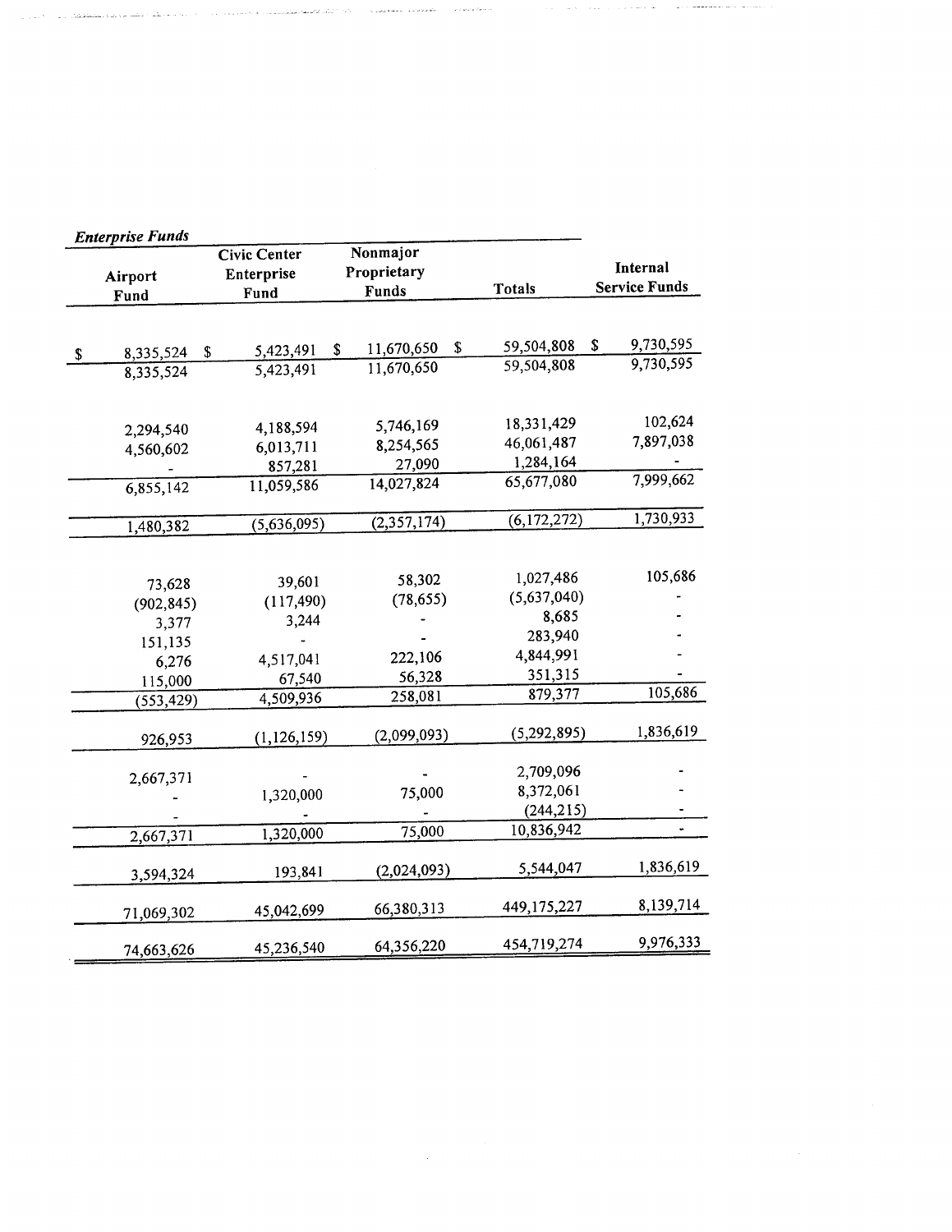| <b>Enterprise Funds</b> |                     |                        |               |                      |
|-------------------------|---------------------|------------------------|---------------|----------------------|
|                         | <b>Civic Center</b> | Nonmajor               |               |                      |
| Airport                 | Enterprise          | Proprietary            |               | Internal             |
| Fund                    | Fund                | Funds                  | <b>Totals</b> | <b>Service Funds</b> |
|                         |                     |                        |               |                      |
| \$<br>8,335,524         | 5,423,491<br>\$     | \$<br>11,670,650<br>\$ | 59,504,808    | 9,730,595<br>S       |
| 8,335,524               | 5,423,491           | 11,670,650             | 59,504,808    | 9,730,595            |
|                         |                     |                        |               |                      |
|                         |                     |                        |               |                      |
| 2,294,540               | 4,188,594           | 5,746,169              | 18,331,429    | 102,624              |
| 4,560,602               | 6,013,711           | 8,254,565              | 46,061,487    | 7,897,038            |
|                         | 857,281             | 27,090                 | 1,284,164     |                      |
| 6,855,142               | 11,059,586          | 14,027,824             | 65,677,080    | 7,999,662            |
|                         |                     |                        |               | 1,730,933            |
| 1,480,382               | (5,636,095)         | (2,357,174)            | (6,172,272)   |                      |
|                         |                     |                        |               |                      |
| 73,628                  | 39,601              | 58,302                 | 1,027,486     | 105,686              |
| (902, 845)              | (117, 490)          | (78, 655)              | (5,637,040)   |                      |
| 3,377                   | 3,244               |                        | 8,685         |                      |
| 151,135                 |                     |                        | 283,940       |                      |
| 6,276                   | 4,517,041           | 222,106                | 4,844,991     |                      |
| 115,000                 | 67,540              | 56,328                 | 351,315       |                      |
| (553, 429)              | 4,509,936           | 258,081                | 879,377       | 105,686              |
|                         |                     |                        |               |                      |
| 926,953                 | (1, 126, 159)       | (2,099,093)            | (5, 292, 895) | 1,836,619            |
|                         |                     |                        |               |                      |
| 2,667,371               |                     |                        | 2,709,096     |                      |
|                         | 1,320,000           | 75,000                 | 8,372,061     |                      |
|                         |                     |                        | (244, 215)    |                      |
| 2,667,371               | 1,320,000           | 75,000                 | 10,836,942    | $\blacksquare$       |
|                         |                     |                        |               | 1,836,619            |
| 3,594,324               | 193,841             | (2,024,093)            | 5,544,047     |                      |
|                         | 45,042,699          | 66,380,313             | 449,175,227   | 8,139,714            |
| 71,069,302              |                     |                        |               |                      |
| 74,663,626              | 45,236,540          | 64,356,220             | 454,719,274   | 9,976,333            |
|                         |                     |                        |               |                      |

 $\label{eq:2.1} \begin{split} \mathcal{L}_{\text{max}}(\mathbf{r}) = \mathcal{L}_{\text{max}}(\mathbf{r}) \mathcal{L}_{\text{max}}(\mathbf{r}) \,, \end{split}$ 

 $\mathcal{A}(\mathbf{u})$  , where  $\mathcal{A}(\mathbf{u})$  is a semi-norm

 $\gamma_{\mu\nu}$  s and a star in  $\alpha$ 

المصافحة فأعاني المستشفاع عطيت بالا

أواردا وأشامنا فالتنصار